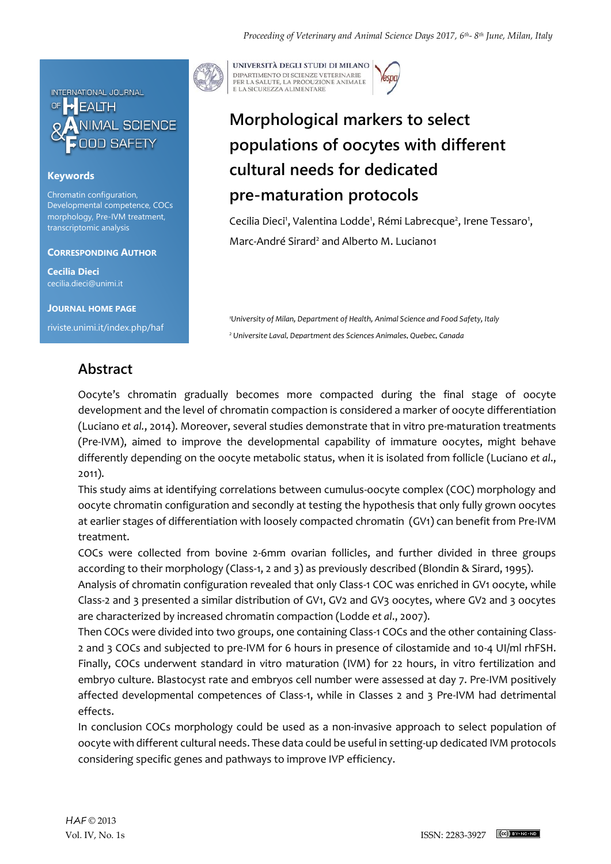

### **Keywords**

Chromatin configuration, Developmental competence, COCs morphology, Pre-IVM treatment, transcriptomic analysis

#### **CORRESPONDING AUTHOR**

**Cecilia Dieci** cecilia.dieci@unimi.it

**JOURNAL HOME PAGE**

riviste.unimi.it/index.php/haf

## **Abstract**



UNIVERSITÀ DEGLI STUDI DI MILANO DIPARTIMENTO DI SCIENZE VETERINARIE PER LA SALUTE, LA PRODUZIONE ANIMALE<br>E LA SICUREZZA ALIMENTARE

# **Morphological markers to select populations of oocytes with different cultural needs for dedicated pre-maturation protocols**

Cecilia Dieci<sup>1</sup>, Valentina Lodde<sup>1</sup>, Rémi Labrecque<sup>2</sup>, Irene Tessaro<sup>1</sup>, Marc-André Sirard<sup>2</sup> and Alberto M. Luciano1

*<sup>1</sup>University of Milan, Department of Health, Animal Science and Food Safety, Italy <sup>2</sup> Universite Laval, Department des Sciences Animales, Quebec, Canada*

Oocyte's chromatin gradually becomes more compacted during the final stage of oocyte development and the level of chromatin compaction is considered a marker of oocyte differentiation (Luciano *et al.*, 2014). Moreover, several studies demonstrate that in vitro pre-maturation treatments (Pre-IVM), aimed to improve the developmental capability of immature oocytes, might behave differently depending on the oocyte metabolic status, when it is isolated from follicle (Luciano *et al*., 2011).

This study aims at identifying correlations between cumulus-oocyte complex (COC) morphology and oocyte chromatin configuration and secondly at testing the hypothesis that only fully grown oocytes at earlier stages of differentiation with loosely compacted chromatin (GV1) can benefit from Pre-IVM treatment.

COCs were collected from bovine 2-6mm ovarian follicles, and further divided in three groups according to their morphology (Class-1, 2 and 3) as previously described (Blondin & Sirard, 1995).

Analysis of chromatin configuration revealed that only Class-1 COC was enriched in GV1 oocyte, while Class-2 and 3 presented a similar distribution of GV1, GV2 and GV3 oocytes, where GV2 and 3 oocytes are characterized by increased chromatin compaction (Lodde *et al*., 2007).

Then COCs were divided into two groups, one containing Class-1 COCs and the other containing Class-2 and 3 COCs and subjected to pre-IVM for 6 hours in presence of cilostamide and 10-4 UI/ml rhFSH. Finally, COCs underwent standard in vitro maturation (IVM) for 22 hours, in vitro fertilization and embryo culture. Blastocyst rate and embryos cell number were assessed at day 7. Pre-IVM positively affected developmental competences of Class-1, while in Classes 2 and 3 Pre-IVM had detrimental effects.

In conclusion COCs morphology could be used as a non-invasive approach to select population of oocyte with different cultural needs. These data could be useful in setting-up dedicated IVM protocols considering specific genes and pathways to improve IVP efficiency.